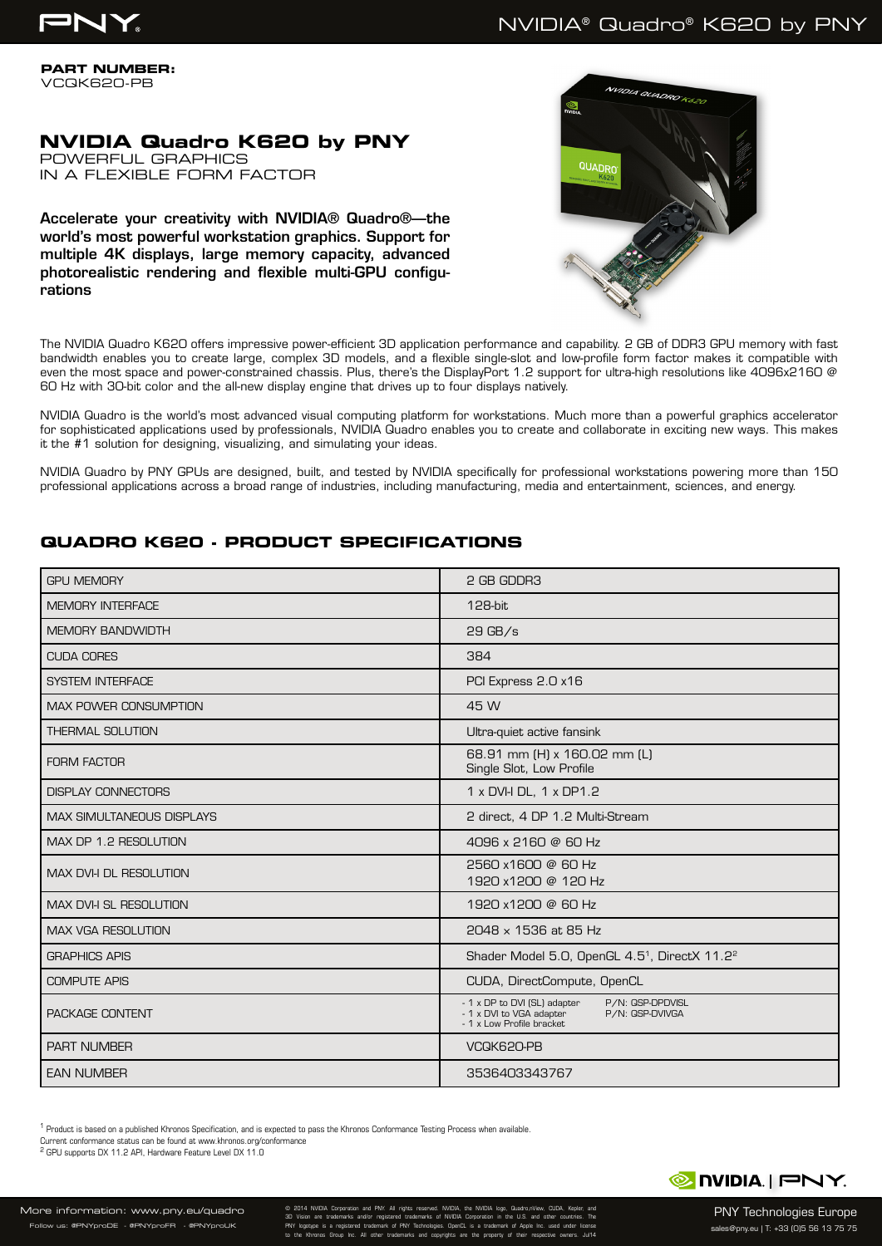

# NVIDIA® Quadro® K620 by PNY

**PART NUMBER:** VCQK620-PB

## **NVIDIA Quadro K620 by PNY** POWERFUL GRAPHICS

IN A FLEXIBLE FORM FACTOR

Accelerate your creativity with NVIDIA® Quadro®—the world's most powerful workstation graphics. Support for multiple 4K displays, large memory capacity, advanced photorealistic rendering and flexible multi-GPU configurations



The NVIDIA Quadro K620 offers impressive power-efficient 3D application performance and capability. 2 GB of DDR3 GPU memory with fast bandwidth enables you to create large, complex 3D models, and a flexible single-slot and low-profile form factor makes it compatible with even the most space and power-constrained chassis. Plus, there's the DisplayPort 1.2 support for ultra-high resolutions like 4096x2160 @ 60 Hz with 30-bit color and the all-new display engine that drives up to four displays natively.

NVIDIA Quadro is the world's most advanced visual computing platform for workstations. Much more than a powerful graphics accelerator for sophisticated applications used by professionals, NVIDIA Quadro enables you to create and collaborate in exciting new ways. This makes it the #1 solution for designing, visualizing, and simulating your ideas.

NVIDIA Quadro by PNY GPUs are designed, built, and tested by NVIDIA specifically for professional workstations powering more than 150 professional applications across a broad range of industries, including manufacturing, media and entertainment, sciences, and energy.

# **QUADRO K620 - PRODUCT SPECIFICATIONS**

| <b>GPU MEMORY</b>                | 2 GB GDDR3                                                                                                                   |
|----------------------------------|------------------------------------------------------------------------------------------------------------------------------|
| <b>MEMORY INTERFACE</b>          | 128-bit                                                                                                                      |
| <b>MEMORY BANDWIDTH</b>          | $29$ GB/s                                                                                                                    |
| <b>CUDA CORES</b>                | 384                                                                                                                          |
| <b>SYSTEM INTERFACE</b>          | PCI Express 2.0 x16                                                                                                          |
| <b>MAX POWER CONSUMPTION</b>     | 45 W                                                                                                                         |
| <b>THERMAL SOLUTION</b>          | Ultra-quiet active fansink                                                                                                   |
| <b>FORM FACTOR</b>               | 68.91 mm (H) x 160.02 mm (L)<br>Single Slot, Low Profile                                                                     |
| <b>DISPLAY CONNECTORS</b>        | 1 x DVI-I DL, 1 x DP1.2                                                                                                      |
| <b>MAX SIMULTANEOUS DISPLAYS</b> | 2 direct, 4 DP 1.2 Multi-Stream                                                                                              |
| MAX DP 1.2 RESOLUTION            | 4096 x 2160 @ 60 Hz                                                                                                          |
| MAX DVI-I DL RESOLUTION          | 2560 x1600 @ 60 Hz<br>1920 x1200 @ 120 Hz                                                                                    |
| MAX DVI-I SL RESOLUTION          | 1920 x1200 @ 60 Hz                                                                                                           |
| <b>MAX VGA RESOLUTION</b>        | 2048 x 1536 at 85 Hz                                                                                                         |
| <b>GRAPHICS APIS</b>             | Shader Model 5.0, OpenGL 4.5 <sup>1</sup> , DirectX 11.2 <sup>2</sup>                                                        |
| <b>COMPUTE APIS</b>              | CUDA, DirectCompute, OpenCL                                                                                                  |
| PACKAGE CONTENT                  | - 1 x DP to DVI (SL) adapter<br>P/N: QSP-DPDVISL<br>- 1 x DVI to VGA adapter<br>P/N: QSP-DVIVGA<br>- 1 x Low Profile bracket |
| <b>PART NUMBER</b>               | VCQK620-PB                                                                                                                   |
| <b>EAN NUMBER</b>                | 3536403343767                                                                                                                |

<sup>1</sup> Product is based on a published Khronos Specification, and is expected to pass the Khronos Conformance Testing Process when available.

Current conformance status can be found at www.khronos.org/conformance

2 GPU supports DX 11.2 API, Hardware Feature Level DX 11.0



PNY Technologies Europe sales@pny.eu | T: +33 (0)5 56 13 75 75

© 2014 NVIDIA Corporation and PNY. All rights reserved. NVIDIA, the NVIDIA logo, Quadro,nView, CUDA, Kepler, and 3D Vision are trademarks and/or registered trademarks of NVIDIA Corporation in the U.S. and other countries. The PNY logotype is a registered trademark of PNY Technologies. OpenCL is a trademark of Apple Inc. used under license to the Khronos Group Inc. All other trademarks and copyrights are the property of their respective owners. Jul14